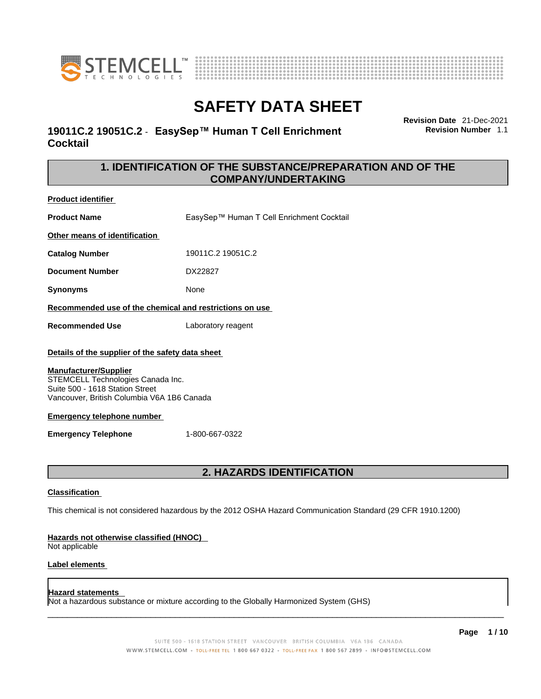



# **19011C.2 19051C.2** - **EasySep™ Human T Cell Enrichment Cocktail**

**Revision Date** 21-Dec-2021 **Revision Number** 1.1

# **1. IDENTIFICATION OF THE SUBSTANCE/PREPARATION AND OF THE COMPANY/UNDERTAKING**

**Product identifier**

**Product Name** EasySep™ Human T Cell Enrichment Cocktail

**Other means of identification**

**Catalog Number** 19011C.2 19051C.2

**Document Number** DX22827

**Synonyms** None

**Recommended use of the chemical and restrictions on use**

**Recommended Use** Laboratory reagent

## **Details of the supplier of the safety data sheet**

## **Manufacturer/Supplier**

STEMCELL Technologies Canada Inc. Suite 500 - 1618 Station Street Vancouver, British Columbia V6A 1B6 Canada

## **Emergency telephone number**

**Emergency Telephone** 1-800-667-0322

# **2. HAZARDS IDENTIFICATION**

## **Classification**

This chemical is not considered hazardous by the 2012 OSHA Hazard Communication Standard (29 CFR 1910.1200)

## **Hazards not otherwise classified (HNOC)**

Not applicable

## **Label elements**

## **Hazard statements**

Not a hazardous substance or mixture according to the Globally Harmonized System (GHS)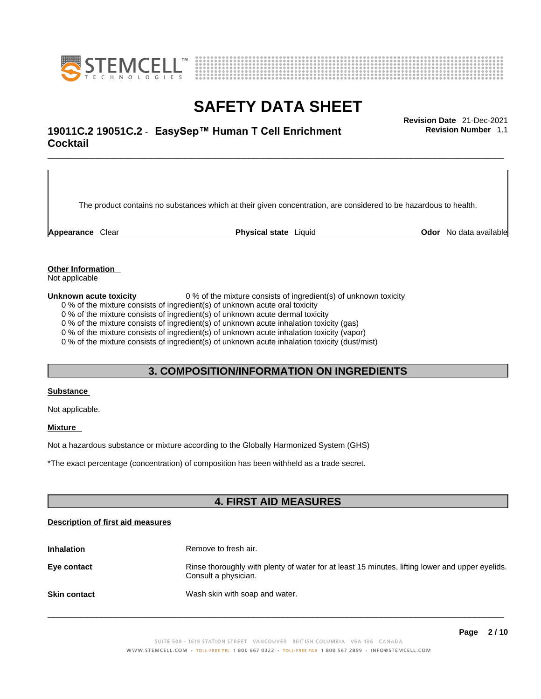



# \_\_\_\_\_\_\_\_\_\_\_\_\_\_\_\_\_\_\_\_\_\_\_\_\_\_\_\_\_\_\_\_\_\_\_\_\_\_\_\_\_\_\_\_\_\_\_\_\_\_\_\_\_\_\_\_\_\_\_\_\_\_\_\_\_\_\_\_\_\_\_\_\_\_\_\_\_\_\_\_\_\_\_\_\_\_\_\_\_\_\_\_\_ **Revision Date** 21-Dec-2021 **19011C.2 19051C.2** - **EasySep™ Human T Cell Enrichment Cocktail**

The product contains no substances which at their given concentration, are considered to be hazardous to health.

**Appearance** Clear **Physical state** Liquid **Odor** No data available

**Revision Number** 1.1

**Other Information** 

Not applicable

**Unknown acute toxicity** 0 % of the mixture consists of ingredient(s) of unknown toxicity

0 % of the mixture consists of ingredient(s) of unknown acute oral toxicity

0 % of the mixture consists of ingredient(s) of unknown acute dermal toxicity

0 % of the mixture consists of ingredient(s) of unknown acute inhalation toxicity (gas)

0 % of the mixture consists of ingredient(s) of unknown acute inhalation toxicity (vapor)

0 % of the mixture consists of ingredient(s) of unknown acute inhalation toxicity (dust/mist)

# **3. COMPOSITION/INFORMATION ON INGREDIENTS**

#### **Substance**

Not applicable.

## **Mixture**

Not a hazardous substance or mixture according to the Globally Harmonized System (GHS)

\*The exact percentage (concentration) ofcomposition has been withheld as a trade secret.

# **4. FIRST AID MEASURES**

## **Description of first aid measures**

| <b>Inhalation</b>   | Remove to fresh air.                                                                                                    |
|---------------------|-------------------------------------------------------------------------------------------------------------------------|
| Eye contact         | Rinse thoroughly with plenty of water for at least 15 minutes, lifting lower and upper eyelids.<br>Consult a physician. |
| <b>Skin contact</b> | Wash skin with soap and water.                                                                                          |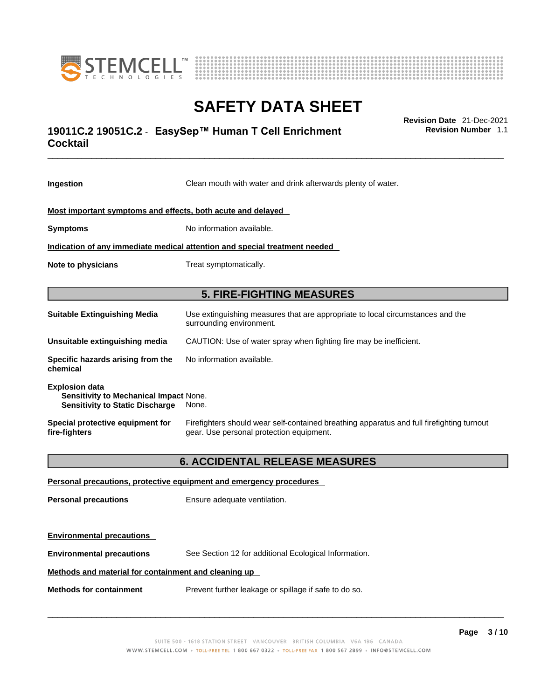



# \_\_\_\_\_\_\_\_\_\_\_\_\_\_\_\_\_\_\_\_\_\_\_\_\_\_\_\_\_\_\_\_\_\_\_\_\_\_\_\_\_\_\_\_\_\_\_\_\_\_\_\_\_\_\_\_\_\_\_\_\_\_\_\_\_\_\_\_\_\_\_\_\_\_\_\_\_\_\_\_\_\_\_\_\_\_\_\_\_\_\_\_\_ **Revision Date** 21-Dec-2021 **19011C.2 19051C.2** - **EasySep™ Human T Cell Enrichment Cocktail**

**Revision Number** 1.1

| Ingestion                                                                                                 | Clean mouth with water and drink afterwards plenty of water.                                                                          |  |
|-----------------------------------------------------------------------------------------------------------|---------------------------------------------------------------------------------------------------------------------------------------|--|
| Most important symptoms and effects, both acute and delayed                                               |                                                                                                                                       |  |
| <b>Symptoms</b>                                                                                           | No information available.                                                                                                             |  |
|                                                                                                           | Indication of any immediate medical attention and special treatment needed                                                            |  |
| Note to physicians                                                                                        | Treat symptomatically.                                                                                                                |  |
|                                                                                                           | <b>5. FIRE-FIGHTING MEASURES</b>                                                                                                      |  |
| <b>Suitable Extinguishing Media</b>                                                                       | Use extinguishing measures that are appropriate to local circumstances and the<br>surrounding environment.                            |  |
| Unsuitable extinguishing media                                                                            | CAUTION: Use of water spray when fighting fire may be inefficient.                                                                    |  |
| Specific hazards arising from the<br>chemical                                                             | No information available.                                                                                                             |  |
| <b>Explosion data</b><br>Sensitivity to Mechanical Impact None.<br><b>Sensitivity to Static Discharge</b> | None.                                                                                                                                 |  |
| Special protective equipment for<br>fire-fighters                                                         | Firefighters should wear self-contained breathing apparatus and full firefighting turnout<br>gear. Use personal protection equipment. |  |
| <b>6. ACCIDENTAL RELEASE MEASURES</b>                                                                     |                                                                                                                                       |  |
|                                                                                                           | Personal precautions, protective equipment and emergency procedures                                                                   |  |
| <b>Personal precautions</b>                                                                               | Ensure adequate ventilation.                                                                                                          |  |
| <b>Environmental precautions</b>                                                                          |                                                                                                                                       |  |
| <b>Environmental precautions</b>                                                                          | See Section 12 for additional Ecological Information.                                                                                 |  |

## **Methods and material for containment and cleaning up**

**Methods for containment** Prevent further leakage or spillage if safe to do so.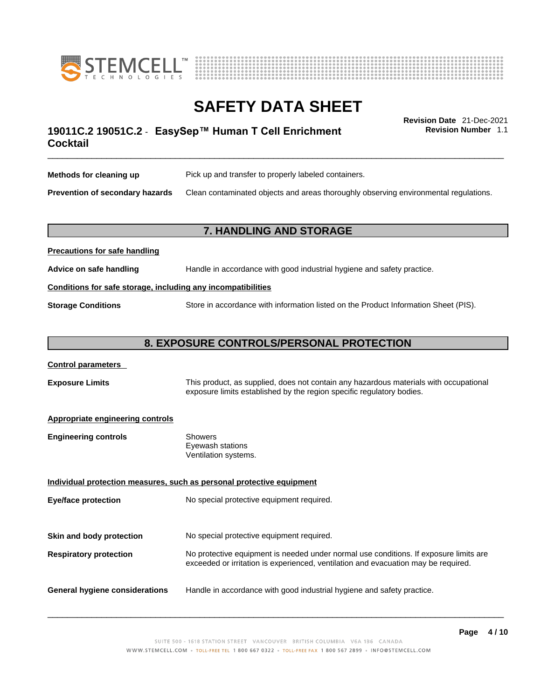



# \_\_\_\_\_\_\_\_\_\_\_\_\_\_\_\_\_\_\_\_\_\_\_\_\_\_\_\_\_\_\_\_\_\_\_\_\_\_\_\_\_\_\_\_\_\_\_\_\_\_\_\_\_\_\_\_\_\_\_\_\_\_\_\_\_\_\_\_\_\_\_\_\_\_\_\_\_\_\_\_\_\_\_\_\_\_\_\_\_\_\_\_\_ **Revision Date** 21-Dec-2021 **19011C.2 19051C.2** - **EasySep™ Human T Cell Enrichment Cocktail**

**Revision Number** 1.1

| Methods for cleaning up         | Pick up and transfer to properly labeled containers.                                 |
|---------------------------------|--------------------------------------------------------------------------------------|
| Prevention of secondary hazards | Clean contaminated objects and areas thoroughly observing environmental regulations. |

# **7. HANDLING AND STORAGE**

| Advice on safe handling                                      | Handle in accordance with good industrial hygiene and safety practice.              |  |
|--------------------------------------------------------------|-------------------------------------------------------------------------------------|--|
| Conditions for safe storage, including any incompatibilities |                                                                                     |  |
| <b>Storage Conditions</b>                                    | Store in accordance with information listed on the Product Information Sheet (PIS). |  |

# **8. EXPOSURE CONTROLS/PERSONAL PROTECTION**

| <b>Control parameters</b> |
|---------------------------|
|---------------------------|

**Precautions for safe handling**

**Exposure Limits** This product, as supplied, does not contain any hazardous materials with occupational exposure limits established by the region specific regulatory bodies.

## **Appropriate engineering controls**

| <b>Engineering controls</b> | Showers              |  |
|-----------------------------|----------------------|--|
|                             | Eyewash stations     |  |
|                             | Ventilation systems. |  |
|                             |                      |  |

**Individual protection measures, such as personal protective equipment Eye/face protection** No special protective equipment required. **Skin and body protection** No special protective equipment required. **Respiratory protection** No protective equipment is needed under normal use conditions. If exposure limits are exceeded or irritation is experienced, ventilation and evacuation may be required. **General hygiene considerations** Handle in accordance with good industrial hygiene and safety practice.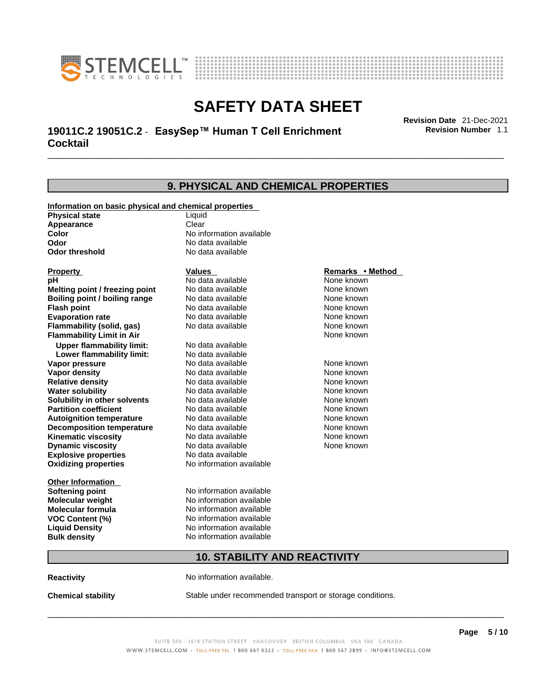



\_\_\_\_\_\_\_\_\_\_\_\_\_\_\_\_\_\_\_\_\_\_\_\_\_\_\_\_\_\_\_\_\_\_\_\_\_\_\_\_\_\_\_\_\_\_\_\_\_\_\_\_\_\_\_\_\_\_\_\_\_\_\_\_\_\_\_\_\_\_\_\_\_\_\_\_\_\_\_\_\_\_\_\_\_\_\_\_\_\_\_\_\_ **Revision Date** 21-Dec-2021 **19011C.2 19051C.2** - **EasySep™ Human T Cell Enrichment Cocktail** 

**Revision Number** 1.1

# **9. PHYSICAL AND CHEMICAL PROPERTIES**

|                                                       | <u>III JIUAL AND UHLIMUAL I IVU</u> |                  |  |
|-------------------------------------------------------|-------------------------------------|------------------|--|
| Information on basic physical and chemical properties |                                     |                  |  |
| <b>Physical state</b>                                 | Liquid                              |                  |  |
| Appearance                                            | Clear                               |                  |  |
| <b>Color</b>                                          | No information available            |                  |  |
| Odor                                                  | No data available                   |                  |  |
| <b>Odor threshold</b>                                 | No data available                   |                  |  |
|                                                       |                                     |                  |  |
| <b>Property</b>                                       | <b>Values</b>                       | Remarks • Method |  |
| рH                                                    | No data available                   | None known       |  |
| Melting point / freezing point                        | No data available                   | None known       |  |
| Boiling point / boiling range                         | No data available                   | None known       |  |
| <b>Flash point</b>                                    | No data available                   | None known       |  |
| <b>Evaporation rate</b>                               | No data available                   | None known       |  |
| Flammability (solid, gas)                             | No data available                   | None known       |  |
| <b>Flammability Limit in Air</b>                      |                                     | None known       |  |
| <b>Upper flammability limit:</b>                      | No data available                   |                  |  |
| Lower flammability limit:                             | No data available                   |                  |  |
| Vapor pressure                                        | No data available                   | None known       |  |
| <b>Vapor density</b>                                  | No data available                   | None known       |  |
| <b>Relative density</b>                               | No data available                   | None known       |  |
| <b>Water solubility</b>                               | No data available                   | None known       |  |
| Solubility in other solvents                          | No data available                   | None known       |  |
| <b>Partition coefficient</b>                          | No data available                   | None known       |  |
| <b>Autoignition temperature</b>                       | No data available                   | None known       |  |
| <b>Decomposition temperature</b>                      | No data available                   | None known       |  |
| <b>Kinematic viscosity</b>                            | No data available                   | None known       |  |
| <b>Dynamic viscosity</b>                              | No data available                   | None known       |  |
| <b>Explosive properties</b>                           | No data available                   |                  |  |
| <b>Oxidizing properties</b>                           | No information available            |                  |  |
| <b>Other Information</b>                              |                                     |                  |  |
| <b>Softening point</b>                                | No information available            |                  |  |
| <b>Molecular weight</b>                               | No information available            |                  |  |
| <b>Molecular formula</b>                              | No information available            |                  |  |
| <b>VOC Content (%)</b>                                | No information available            |                  |  |
| <b>Liquid Density</b>                                 | No information available            |                  |  |
| <b>Bulk density</b>                                   | No information available            |                  |  |
| <b>10. STABILITY AND REACTIVITY</b>                   |                                     |                  |  |
|                                                       |                                     |                  |  |

**Reactivity No information available.** 

**Chemical stability** Stable under recommended transport or storage conditions.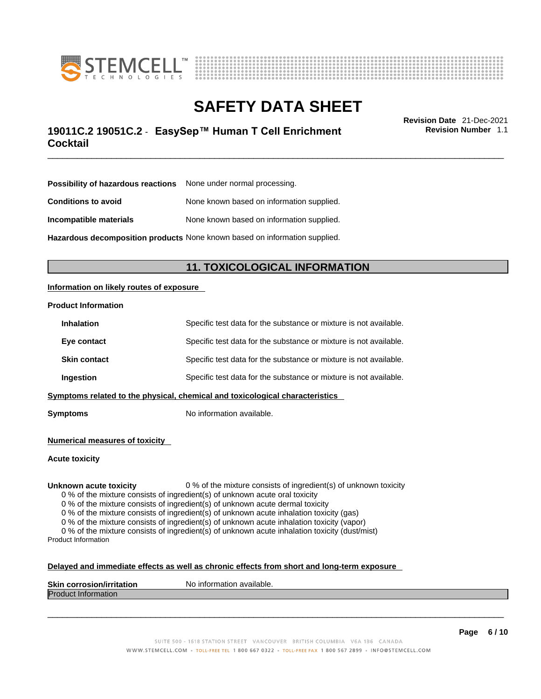



# \_\_\_\_\_\_\_\_\_\_\_\_\_\_\_\_\_\_\_\_\_\_\_\_\_\_\_\_\_\_\_\_\_\_\_\_\_\_\_\_\_\_\_\_\_\_\_\_\_\_\_\_\_\_\_\_\_\_\_\_\_\_\_\_\_\_\_\_\_\_\_\_\_\_\_\_\_\_\_\_\_\_\_\_\_\_\_\_\_\_\_\_\_ **Revision Date** 21-Dec-2021 **19011C.2 19051C.2** - **EasySep™ Human T Cell Enrichment Cocktail**

**Revision Number** 1.1

| Possibility of hazardous reactions None under normal processing.           |                                           |
|----------------------------------------------------------------------------|-------------------------------------------|
| <b>Conditions to avoid</b>                                                 | None known based on information supplied. |
| Incompatible materials                                                     | None known based on information supplied. |
| Hazardous decomposition products None known based on information supplied. |                                           |

# **11. TOXICOLOGICAL INFORMATION**

## **Information on likely routes of exposure**

#### **Product Information**

| <b>Inhalation</b>                                                            | Specific test data for the substance or mixture is not available. |  |
|------------------------------------------------------------------------------|-------------------------------------------------------------------|--|
| Eye contact                                                                  | Specific test data for the substance or mixture is not available. |  |
| <b>Skin contact</b>                                                          | Specific test data for the substance or mixture is not available. |  |
| Ingestion                                                                    | Specific test data for the substance or mixture is not available. |  |
| Symptoms related to the physical, chemical and toxicological characteristics |                                                                   |  |

**Symptoms** No information available.

**Numerical measures of toxicity**

**Acute toxicity**

**Unknown acute toxicity** 0 % of the mixture consists of ingredient(s) of unknown toxicity

0 % of the mixture consists of ingredient(s) of unknown acute oral toxicity

0 % of the mixture consists of ingredient(s) of unknown acute dermal toxicity

0 % of the mixture consists of ingredient(s) of unknown acute inhalation toxicity (gas)

0 % of the mixture consists of ingredient(s) of unknown acute inhalation toxicity (vapor)

0 % of the mixture consists of ingredient(s) of unknown acute inhalation toxicity (dust/mist) Product Information

#### **Delayed and immediate effects as well as chronic effects from short and long-term exposure**

| <b>Skin corrosion/irritation</b> | mation available.<br>Nο<br>. Inform |
|----------------------------------|-------------------------------------|
| Produc<br>⊆iniormation           |                                     |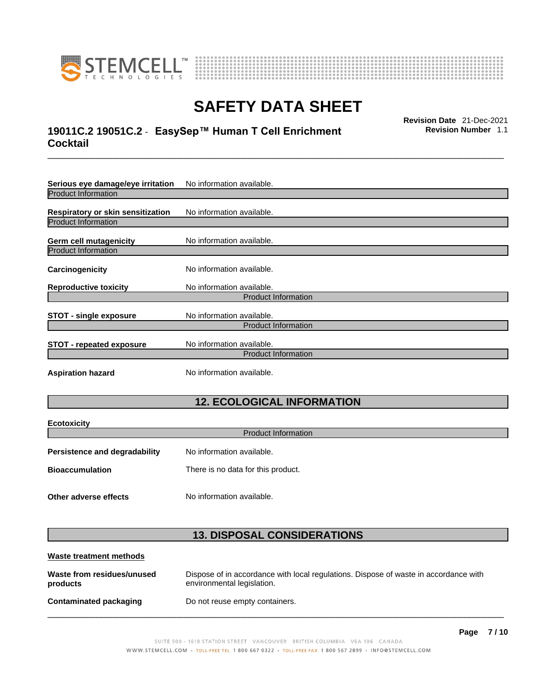



# \_\_\_\_\_\_\_\_\_\_\_\_\_\_\_\_\_\_\_\_\_\_\_\_\_\_\_\_\_\_\_\_\_\_\_\_\_\_\_\_\_\_\_\_\_\_\_\_\_\_\_\_\_\_\_\_\_\_\_\_\_\_\_\_\_\_\_\_\_\_\_\_\_\_\_\_\_\_\_\_\_\_\_\_\_\_\_\_\_\_\_\_\_ **Revision Date** 21-Dec-2021 **19011C.2 19051C.2** - **EasySep™ Human T Cell Enrichment Cocktail**

**Revision Number** 1.1

| Serious eye damage/eye irritation | No information available.  |
|-----------------------------------|----------------------------|
| <b>Product Information</b>        |                            |
| Respiratory or skin sensitization | No information available.  |
| <b>Product Information</b>        |                            |
| Germ cell mutagenicity            | No information available.  |
| <b>Product Information</b>        |                            |
| Carcinogenicity                   | No information available.  |
| <b>Reproductive toxicity</b>      | No information available.  |
|                                   | <b>Product Information</b> |
| STOT - single exposure            | No information available.  |
|                                   | <b>Product Information</b> |
| <b>STOT - repeated exposure</b>   | No information available.  |
| <b>Product Information</b>        |                            |
| <b>Aspiration hazard</b>          | No information available.  |

# **12. ECOLOGICAL INFORMATION**

| <b>Ecotoxicity</b><br><b>Product Information</b> |                                    |  |
|--------------------------------------------------|------------------------------------|--|
|                                                  |                                    |  |
| <b>Persistence and degradability</b>             | No information available.          |  |
| <b>Bioaccumulation</b>                           | There is no data for this product. |  |
| Other adverse effects                            | No information available.          |  |

# **13. DISPOSAL CONSIDERATIONS**

| Waste treatment methods                |                                                                                                                    |
|----------------------------------------|--------------------------------------------------------------------------------------------------------------------|
| Waste from residues/unused<br>products | Dispose of in accordance with local regulations. Dispose of waste in accordance with<br>environmental legislation. |
| Contaminated packaging                 | Do not reuse empty containers.                                                                                     |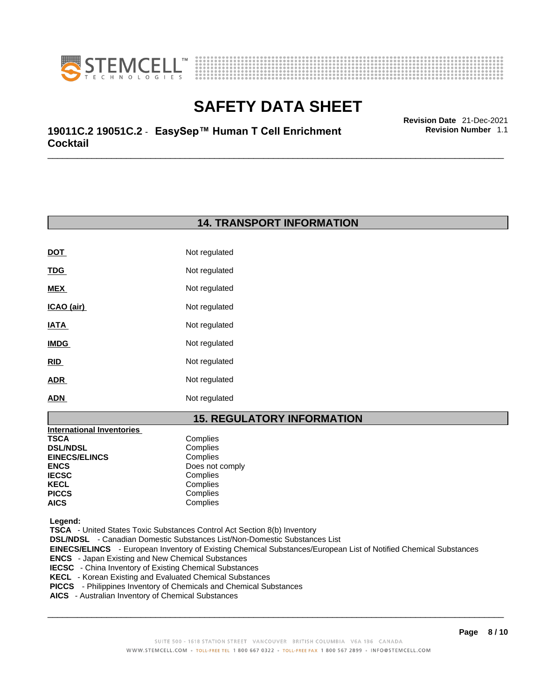



\_\_\_\_\_\_\_\_\_\_\_\_\_\_\_\_\_\_\_\_\_\_\_\_\_\_\_\_\_\_\_\_\_\_\_\_\_\_\_\_\_\_\_\_\_\_\_\_\_\_\_\_\_\_\_\_\_\_\_\_\_\_\_\_\_\_\_\_\_\_\_\_\_\_\_\_\_\_\_\_\_\_\_\_\_\_\_\_\_\_\_\_\_ **Revision Date** 21-Dec-2021 **19011C.2 19051C.2** - **EasySep™ Human T Cell Enrichment Cocktail** 

**14. TRANSPORT INFORMATION** 

| Not regulated |
|---------------|
| Not regulated |
| Not regulated |
| Not regulated |
| Not regulated |
| Not regulated |
| Not regulated |
| Not regulated |
| Not regulated |
|               |

# **15. REGULATORY INFORMATION**

| <b>International Inventories</b> |                 |
|----------------------------------|-----------------|
| TSCA                             | Complies        |
| <b>DSL/NDSL</b>                  | Complies        |
| <b>EINECS/ELINCS</b>             | Complies        |
| ENCS                             | Does not comply |
| <b>IECSC</b>                     | Complies        |
| KECL                             | Complies        |
| PICCS                            | Complies        |
| AICS                             | Complies        |
|                                  |                 |

 **Legend:** 

 **TSCA** - United States Toxic Substances Control Act Section 8(b) Inventory

 **DSL/NDSL** - Canadian Domestic Substances List/Non-Domestic Substances List

 **EINECS/ELINCS** - European Inventory of Existing Chemical Substances/European List of Notified Chemical Substances

- **ENCS**  Japan Existing and New Chemical Substances
- **IECSC**  China Inventory of Existing Chemical Substances
- **KECL**  Korean Existing and Evaluated Chemical Substances
- **PICCS**  Philippines Inventory of Chemicals and Chemical Substances
- **AICS**  Australian Inventory of Chemical Substances

 $\_$  ,  $\_$  ,  $\_$  ,  $\_$  ,  $\_$  ,  $\_$  ,  $\_$  ,  $\_$  ,  $\_$  ,  $\_$  ,  $\_$  ,  $\_$  ,  $\_$  ,  $\_$  ,  $\_$  ,  $\_$  ,  $\_$  ,  $\_$  ,  $\_$  ,  $\_$  ,  $\_$  ,  $\_$  ,  $\_$  ,  $\_$  ,  $\_$  ,  $\_$  ,  $\_$  ,  $\_$  ,  $\_$  ,  $\_$  ,  $\_$  ,  $\_$  ,  $\_$  ,  $\_$  ,  $\_$  ,  $\_$  ,  $\_$  ,

**Revision Number** 1.1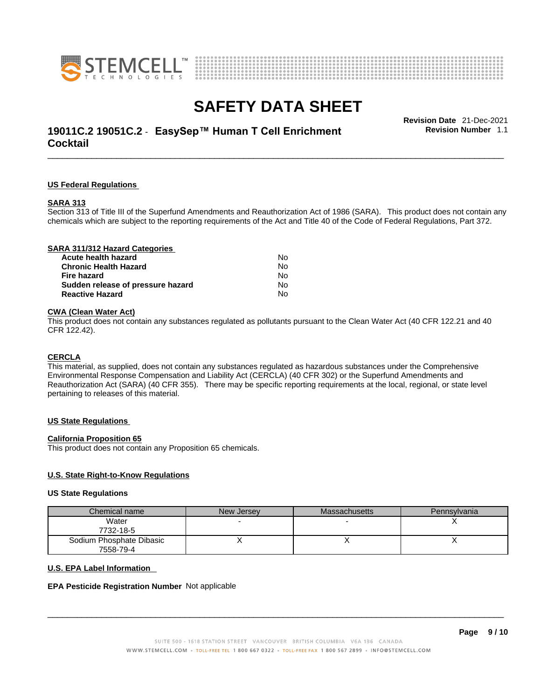



# \_\_\_\_\_\_\_\_\_\_\_\_\_\_\_\_\_\_\_\_\_\_\_\_\_\_\_\_\_\_\_\_\_\_\_\_\_\_\_\_\_\_\_\_\_\_\_\_\_\_\_\_\_\_\_\_\_\_\_\_\_\_\_\_\_\_\_\_\_\_\_\_\_\_\_\_\_\_\_\_\_\_\_\_\_\_\_\_\_\_\_\_\_ **Revision Date** 21-Dec-2021 **19011C.2 19051C.2** - **EasySep™ Human T Cell Enrichment Cocktail**

**Revision Number** 1.1

## **US Federal Regulations**

#### **SARA 313**

Section 313 of Title III of the Superfund Amendments and Reauthorization Act of 1986 (SARA). This product does not contain any chemicals which are subject to the reporting requirements of the Act and Title 40 of the Code of Federal Regulations, Part 372.

| SARA 311/312 Hazard Categories    |    |  |
|-----------------------------------|----|--|
| Acute health hazard               | N٥ |  |
| <b>Chronic Health Hazard</b>      | No |  |
| Fire hazard                       | No |  |
| Sudden release of pressure hazard | No |  |
| <b>Reactive Hazard</b>            | No |  |
|                                   |    |  |

## **CWA** (Clean Water Act)

This product does not contain any substances regulated as pollutants pursuant to the Clean Water Act (40 CFR 122.21 and 40 CFR 122.42).

#### **CERCLA**

This material, as supplied, does not contain any substances regulated as hazardous substances under the Comprehensive Environmental Response Compensation and Liability Act (CERCLA) (40 CFR 302) or the Superfund Amendments and Reauthorization Act (SARA) (40 CFR 355). There may be specific reporting requirements at the local, regional, or state level pertaining to releases of this material.

#### **US State Regulations**

#### **California Proposition 65**

This product does not contain any Proposition 65 chemicals.

## **U.S. State Right-to-Know Regulations**

#### **US State Regulations**

| Chemical name            | New Jersey | <b>Massachusetts</b> | Pennsylvania |
|--------------------------|------------|----------------------|--------------|
| Water                    |            |                      |              |
| 7732-18-5                |            |                      |              |
| Sodium Phosphate Dibasic |            |                      |              |
| 7558-79-4                |            |                      |              |

#### **U.S. EPA Label Information**

#### **EPA Pesticide Registration Number** Not applicable